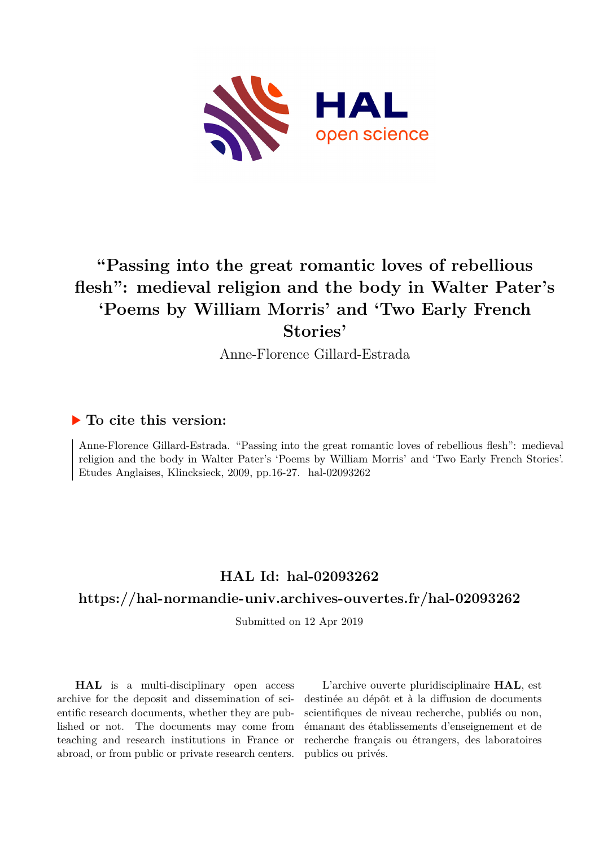

# **"Passing into the great romantic loves of rebellious flesh": medieval religion and the body in Walter Pater's 'Poems by William Morris' and 'Two Early French Stories'**

Anne-Florence Gillard-Estrada

#### **To cite this version:**

Anne-Florence Gillard-Estrada. "Passing into the great romantic loves of rebellious flesh": medieval religion and the body in Walter Pater's 'Poems by William Morris' and 'Two Early French Stories'. Etudes Anglaises, Klincksieck, 2009, pp.16-27. hal-02093262

## **HAL Id: hal-02093262**

#### **<https://hal-normandie-univ.archives-ouvertes.fr/hal-02093262>**

Submitted on 12 Apr 2019

**HAL** is a multi-disciplinary open access archive for the deposit and dissemination of scientific research documents, whether they are published or not. The documents may come from teaching and research institutions in France or abroad, or from public or private research centers.

L'archive ouverte pluridisciplinaire **HAL**, est destinée au dépôt et à la diffusion de documents scientifiques de niveau recherche, publiés ou non, émanant des établissements d'enseignement et de recherche français ou étrangers, des laboratoires publics ou privés.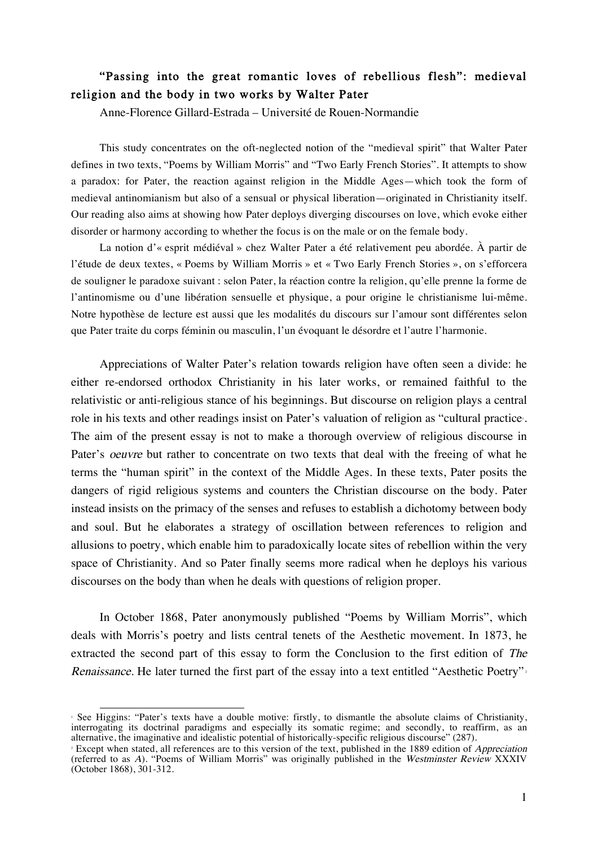### "Passing into the great romantic loves of rebellious flesh": medieval religion and the body in two works by Walter Pater

Anne-Florence Gillard-Estrada – Université de Rouen-Normandie

This study concentrates on the oft-neglected notion of the "medieval spirit" that Walter Pater defines in two texts, "Poems by William Morris" and "Two Early French Stories". It attempts to show a paradox: for Pater, the reaction against religion in the Middle Ages—which took the form of medieval antinomianism but also of a sensual or physical liberation—originated in Christianity itself. Our reading also aims at showing how Pater deploys diverging discourses on love, which evoke either disorder or harmony according to whether the focus is on the male or on the female body.

La notion d'« esprit médiéval » chez Walter Pater a été relativement peu abordée. À partir de l'étude de deux textes, « Poems by William Morris » et « Two Early French Stories », on s'efforcera de souligner le paradoxe suivant : selon Pater, la réaction contre la religion, qu'elle prenne la forme de l'antinomisme ou d'une libération sensuelle et physique, a pour origine le christianisme lui-même. Notre hypothèse de lecture est aussi que les modalités du discours sur l'amour sont différentes selon que Pater traite du corps féminin ou masculin, l'un évoquant le désordre et l'autre l'harmonie.

Appreciations of Walter Pater's relation towards religion have often seen a divide: he either re-endorsed orthodox Christianity in his later works, or remained faithful to the relativistic or anti-religious stance of his beginnings. But discourse on religion plays a central role in his texts and other readings insist on Pater's valuation of religion as "cultural practice. The aim of the present essay is not to make a thorough overview of religious discourse in Pater's oeuvre but rather to concentrate on two texts that deal with the freeing of what he terms the "human spirit" in the context of the Middle Ages. In these texts, Pater posits the dangers of rigid religious systems and counters the Christian discourse on the body. Pater instead insists on the primacy of the senses and refuses to establish a dichotomy between body and soul. But he elaborates a strategy of oscillation between references to religion and allusions to poetry, which enable him to paradoxically locate sites of rebellion within the very space of Christianity. And so Pater finally seems more radical when he deploys his various discourses on the body than when he deals with questions of religion proper.

In October 1868, Pater anonymously published "Poems by William Morris", which deals with Morris's poetry and lists central tenets of the Aesthetic movement. In 1873, he extracted the second part of this essay to form the Conclusion to the first edition of The Renaissance. He later turned the first part of the essay into a text entitled "Aesthetic Poetry".

 <sup>1</sup> See Higgins: "Pater's texts have a double motive: firstly, to dismantle the absolute claims of Christianity, interrogating its doctrinal paradigms and especially its somatic regime; and secondly, to reaffirm, as an alternative, the imaginative and idealistic potential of historically-specific religious discourse" (287).

<sup>&</sup>lt;sup>2</sup> Except when stated, all references are to this version of the text, published in the 1889 edition of *Appreciation* (referred to as A). "Poems of William Morris" was originally published in the Westminster Review XXXIV (October 1868), 301-312.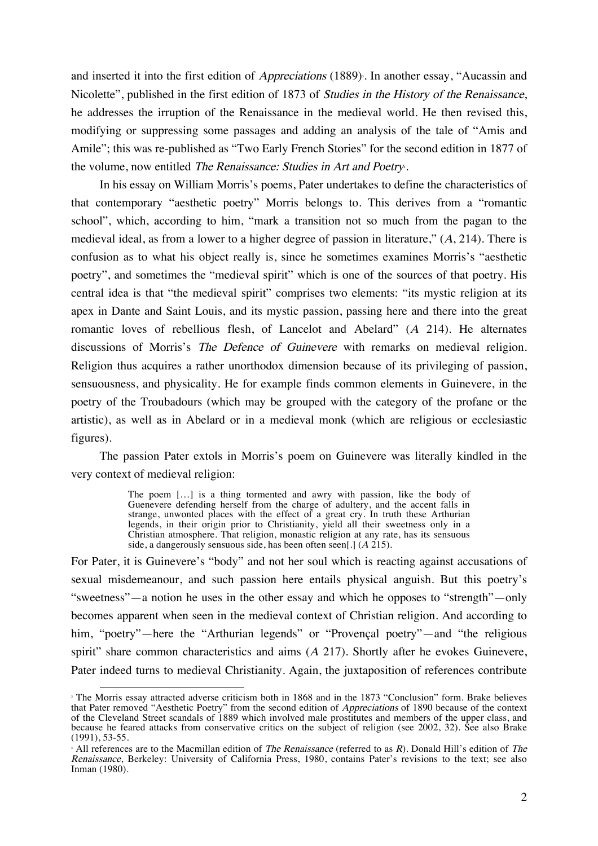and inserted it into the first edition of *Appreciations* (1889). In another essay, "Aucassin and Nicolette", published in the first edition of 1873 of Studies in the History of the Renaissance, he addresses the irruption of the Renaissance in the medieval world. He then revised this, modifying or suppressing some passages and adding an analysis of the tale of "Amis and Amile"; this was re-published as "Two Early French Stories" for the second edition in 1877 of the volume, now entitled The Renaissance: Studies in Art and Poetry.

In his essay on William Morris's poems, Pater undertakes to define the characteristics of that contemporary "aesthetic poetry" Morris belongs to. This derives from a "romantic school", which, according to him, "mark a transition not so much from the pagan to the medieval ideal, as from a lower to a higher degree of passion in literature,"  $(A, 214)$ . There is confusion as to what his object really is, since he sometimes examines Morris's "aesthetic poetry", and sometimes the "medieval spirit" which is one of the sources of that poetry. His central idea is that "the medieval spirit" comprises two elements: "its mystic religion at its apex in Dante and Saint Louis, and its mystic passion, passing here and there into the great romantic loves of rebellious flesh, of Lancelot and Abelard" (<sup>A</sup> 214). He alternates discussions of Morris's The Defence of Guinevere with remarks on medieval religion. Religion thus acquires a rather unorthodox dimension because of its privileging of passion, sensuousness, and physicality. He for example finds common elements in Guinevere, in the poetry of the Troubadours (which may be grouped with the category of the profane or the artistic), as well as in Abelard or in a medieval monk (which are religious or ecclesiastic figures).

The passion Pater extols in Morris's poem on Guinevere was literally kindled in the very context of medieval religion:

> The poem […] is a thing tormented and awry with passion, like the body of Guenevere defending herself from the charge of adultery, and the accent falls in strange, unwonted places with the effect of a great cry. In truth these Arthurian legends, in their origin prior to Christianity, yield all their sweetness only in a Christian atmosphere. That religion, monastic religion at any rate, has its sensuous side, a dangerously sensuous side, has been often seen[.]  $(A 215)$ .

For Pater, it is Guinevere's "body" and not her soul which is reacting against accusations of sexual misdemeanour, and such passion here entails physical anguish. But this poetry's "sweetness"—a notion he uses in the other essay and which he opposes to "strength"—only becomes apparent when seen in the medieval context of Christian religion. And according to him, "poetry"—here the "Arthurian legends" or "Provençal poetry"—and "the religious spirit" share common characteristics and aims  $(A 217)$ . Shortly after he evokes Guinevere, Pater indeed turns to medieval Christianity. Again, the juxtaposition of references contribute

<sup>&</sup>lt;sup>3</sup> The Morris essay attracted adverse criticism both in 1868 and in the 1873 "Conclusion" form. Brake believes that Pater removed "Aesthetic Poetry" from the second edition of Appreciations of 1890 because of the context of the Cleveland Street scandals of 1889 which involved male prostitutes and members of the upper class, and because he feared attacks from conservative critics on the subject of religion (see 2002, 32). See also Brake (1991), 53-55.

 $\pm$  All references are to the Macmillan edition of The Renaissance (referred to as R). Donald Hill's edition of The Renaissance, Berkeley: University of California Press, 1980, contains Pater's revisions to the text; see also Inman (1980).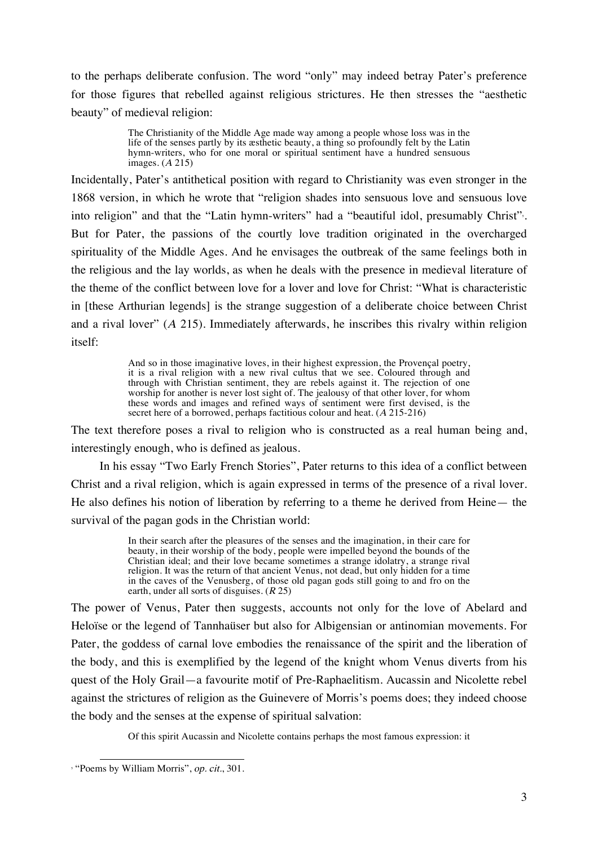to the perhaps deliberate confusion. The word "only" may indeed betray Pater's preference for those figures that rebelled against religious strictures. He then stresses the "aesthetic beauty" of medieval religion:

> The Christianity of the Middle Age made way among a people whose loss was in the life of the senses partly by its æsthetic beauty, a thing so profoundly felt by the Latin hymn-writers, who for one moral or spiritual sentiment have a hundred sensuous images. (<sup>A</sup> 215)

Incidentally, Pater's antithetical position with regard to Christianity was even stronger in the 1868 version, in which he wrote that "religion shades into sensuous love and sensuous love into religion" and that the "Latin hymn-writers" had a "beautiful idol, presumably Christ". But for Pater, the passions of the courtly love tradition originated in the overcharged spirituality of the Middle Ages. And he envisages the outbreak of the same feelings both in the religious and the lay worlds, as when he deals with the presence in medieval literature of the theme of the conflict between love for a lover and love for Christ: "What is characteristic in [these Arthurian legends] is the strange suggestion of a deliberate choice between Christ and a rival lover"  $(A 215)$ . Immediately afterwards, he inscribes this rivalry within religion itself:

> And so in those imaginative loves, in their highest expression, the Provençal poetry, it is a rival religion with a new rival cultus that we see. Coloured through and through with Christian sentiment, they are rebels against it. The rejection of one worship for another is never lost sight of. The jealousy of that other lover, for whom these words and images and refined ways of sentiment were first devised, is the secret here of a borrowed, perhaps factitious colour and heat. (A 215-216)

The text therefore poses a rival to religion who is constructed as a real human being and, interestingly enough, who is defined as jealous.

In his essay "Two Early French Stories", Pater returns to this idea of a conflict between Christ and a rival religion, which is again expressed in terms of the presence of a rival lover. He also defines his notion of liberation by referring to a theme he derived from Heine— the survival of the pagan gods in the Christian world:

> In their search after the pleasures of the senses and the imagination, in their care for beauty, in their worship of the body, people were impelled beyond the bounds of the Christian ideal; and their love became sometimes a strange idolatry, a strange rival religion. It was the return of that ancient Venus, not dead, but only hidden for a time in the caves of the Venusberg, of those old pagan gods still going to and fro on the earth, under all sorts of disguises.  $(R 25)$

The power of Venus, Pater then suggests, accounts not only for the love of Abelard and Heloïse or the legend of Tannhaüser but also for Albigensian or antinomian movements. For Pater, the goddess of carnal love embodies the renaissance of the spirit and the liberation of the body, and this is exemplified by the legend of the knight whom Venus diverts from his quest of the Holy Grail—a favourite motif of Pre-Raphaelitism. Aucassin and Nicolette rebel against the strictures of religion as the Guinevere of Morris's poems does; they indeed choose the body and the senses at the expense of spiritual salvation:

Of this spirit Aucassin and Nicolette contains perhaps the most famous expression: it

<sup>&</sup>lt;sup>5</sup> "Poems by William Morris", op. cit., 301.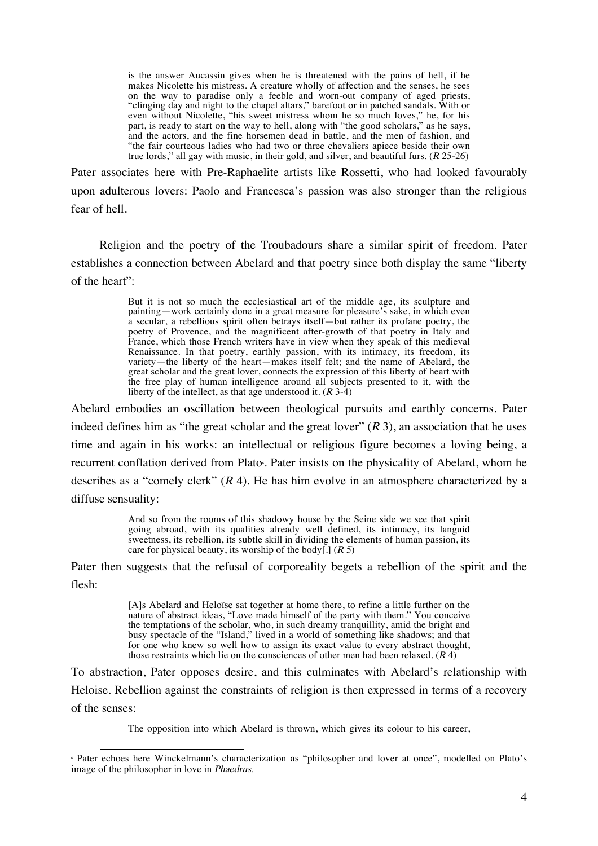is the answer Aucassin gives when he is threatened with the pains of hell, if he makes Nicolette his mistress. A creature wholly of affection and the senses, he sees on the way to paradise only a feeble and worn-out company of aged priests, "clinging day and night to the chapel altars," barefoot or in patched sandals. With or even without Nicolette, "his sweet mistress whom he so much loves," he, for his part, is ready to start on the way to hell, along with "the good scholars," as he says, and the actors, and the fine horsemen dead in battle, and the men of fashion, and "the fair courteous ladies who had two or three chevaliers apiece beside their own true lords," all gay with music, in their gold, and silver, and beautiful furs.  $(R 25-26)$ 

Pater associates here with Pre-Raphaelite artists like Rossetti, who had looked favourably upon adulterous lovers: Paolo and Francesca's passion was also stronger than the religious fear of hell.

Religion and the poetry of the Troubadours share a similar spirit of freedom. Pater establishes a connection between Abelard and that poetry since both display the same "liberty of the heart":

> But it is not so much the ecclesiastical art of the middle age, its sculpture and painting—work certainly done in a great measure for pleasure's sake, in which even a secular, a rebellious spirit often betrays itself—but rather its profane poetry, the poetry of Provence, and the magnificent after-growth of that poetry in Italy and France, which those French writers have in view when they speak of this medieval Renaissance. In that poetry, earthly passion, with its intimacy, its freedom, its variety—the liberty of the heart—makes itself felt; and the name of Abelard, the great scholar and the great lover, connects the expression of this liberty of heart with the free play of human intelligence around all subjects presented to it, with the liberty of the intellect, as that age understood it.  $(R\ 3-4)$

Abelard embodies an oscillation between theological pursuits and earthly concerns. Pater indeed defines him as "the great scholar and the great lover"  $(R 3)$ , an association that he uses time and again in his works: an intellectual or religious figure becomes a loving being, a recurrent conflation derived from Plato. Pater insists on the physicality of Abelard, whom he describes as a "comely clerk"  $(R 4)$ . He has him evolve in an atmosphere characterized by a diffuse sensuality:

> And so from the rooms of this shadowy house by the Seine side we see that spirit going abroad, with its qualities already well defined, its intimacy, its languid sweetness, its rebellion, its subtle skill in dividing the elements of human passion, its care for physical beauty, its worship of the body[.]  $(R 5)$

Pater then suggests that the refusal of corporeality begets a rebellion of the spirit and the flesh:

> [A]s Abelard and Heloïse sat together at home there, to refine a little further on the nature of abstract ideas, "Love made himself of the party with them." You conceive the temptations of the scholar, who, in such dreamy tranquillity, amid the bright and busy spectacle of the "Island," lived in a world of something like shadows; and that for one who knew so well how to assign its exact value to every abstract thought, those restraints which lie on the consciences of other men had been relaxed.  $(R4)$

To abstraction, Pater opposes desire, and this culminates with Abelard's relationship with Heloise. Rebellion against the constraints of religion is then expressed in terms of a recovery of the senses:

The opposition into which Abelard is thrown, which gives its colour to his career,

 <sup>6</sup> Pater echoes here Winckelmann's characterization as "philosopher and lover at once", modelled on Plato's image of the philosopher in love in Phaedrus.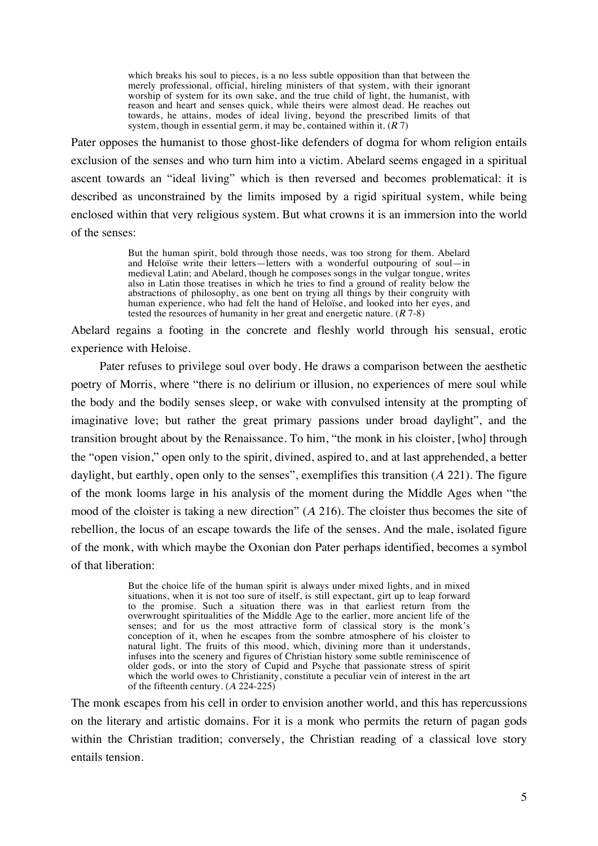which breaks his soul to pieces, is a no less subtle opposition than that between the merely professional, official, hireling ministers of that system, with their ignorant worship of system for its own sake, and the true child of light, the humanist, with reason and heart and senses quick, while theirs were almost dead. He reaches out towards, he attains, modes of ideal living, beyond the prescribed limits of that system, though in essential germ, it may be, contained within it.  $(R 7)$ 

Pater opposes the humanist to those ghost-like defenders of dogma for whom religion entails exclusion of the senses and who turn him into a victim. Abelard seems engaged in a spiritual ascent towards an "ideal living" which is then reversed and becomes problematical: it is described as unconstrained by the limits imposed by a rigid spiritual system, while being enclosed within that very religious system. But what crowns it is an immersion into the world of the senses:

> But the human spirit, bold through those needs, was too strong for them. Abelard and Heloïse write their letters—letters with a wonderful outpouring of soul—in medieval Latin; and Abelard, though he composes songs in the vulgar tongue, writes also in Latin those treatises in which he tries to find a ground of reality below the abstractions of philosophy, as one bent on trying all things by their congruity with human experience, who had felt the hand of Heloïse, and looked into her eyes, and tested the resources of humanity in her great and energetic nature.  $(R 7-8)$

Abelard regains a footing in the concrete and fleshly world through his sensual, erotic experience with Heloise.

Pater refuses to privilege soul over body. He draws a comparison between the aesthetic poetry of Morris, where "there is no delirium or illusion, no experiences of mere soul while the body and the bodily senses sleep, or wake with convulsed intensity at the prompting of imaginative love; but rather the great primary passions under broad daylight", and the transition brought about by the Renaissance. To him, "the monk in his cloister, [who] through the "open vision," open only to the spirit, divined, aspired to, and at last apprehended, a better daylight, but earthly, open only to the senses", exemplifies this transition  $(A 221)$ . The figure of the monk looms large in his analysis of the moment during the Middle Ages when "the mood of the cloister is taking a new direction" (<sup>A</sup> 216). The cloister thus becomes the site of rebellion, the locus of an escape towards the life of the senses. And the male, isolated figure of the monk, with which maybe the Oxonian don Pater perhaps identified, becomes a symbol of that liberation:

> But the choice life of the human spirit is always under mixed lights, and in mixed situations, when it is not too sure of itself, is still expectant, girt up to leap forward to the promise. Such a situation there was in that earliest return from the overwrought spiritualities of the Middle Age to the earlier, more ancient life of the senses; and for us the most attractive form of classical story is the monk's conception of it, when he escapes from the sombre atmosphere of his cloister to natural light. The fruits of this mood, which, divining more than it understands, infuses into the scenery and figures of Christian history some subtle reminiscence of older gods, or into the story of Cupid and Psyche that passionate stress of spirit which the world owes to Christianity, constitute a peculiar vein of interest in the art of the fifteenth century.  $(A 224-225)$

The monk escapes from his cell in order to envision another world, and this has repercussions on the literary and artistic domains. For it is a monk who permits the return of pagan gods within the Christian tradition; conversely, the Christian reading of a classical love story entails tension.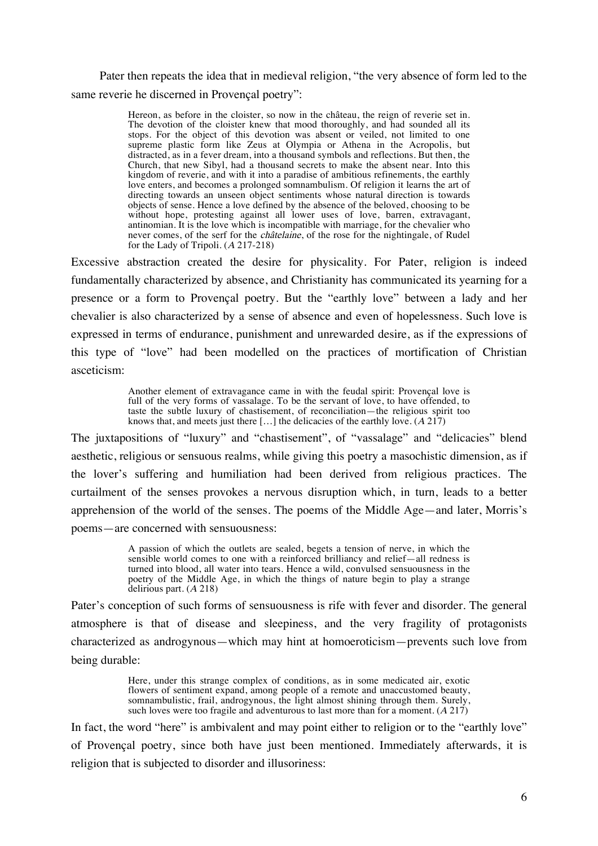Pater then repeats the idea that in medieval religion, "the very absence of form led to the same reverie he discerned in Provençal poetry":

> Hereon, as before in the cloister, so now in the château, the reign of reverie set in. The devotion of the cloister knew that mood thoroughly, and had sounded all its stops. For the object of this devotion was absent or veiled, not limited to one supreme plastic form like Zeus at Olympia or Athena in the Acropolis, but distracted, as in a fever dream, into a thousand symbols and reflections. But then, the Church, that new Sibyl, had a thousand secrets to make the absent near. Into this kingdom of reverie, and with it into a paradise of ambitious refinements, the earthly love enters, and becomes a prolonged somnambulism. Of religion it learns the art of directing towards an unseen object sentiments whose natural direction is towards objects of sense. Hence a love defined by the absence of the beloved, choosing to be without hope, protesting against all lower uses of love, barren, extravagant, antinomian. It is the love which is incompatible with marriage, for the chevalier who never comes, of the serf for the châtelaine, of the rose for the nightingale, of Rudel for the Lady of Tripoli. (A 217-218)

Excessive abstraction created the desire for physicality. For Pater, religion is indeed fundamentally characterized by absence, and Christianity has communicated its yearning for a presence or a form to Provençal poetry. But the "earthly love" between a lady and her chevalier is also characterized by a sense of absence and even of hopelessness. Such love is expressed in terms of endurance, punishment and unrewarded desire, as if the expressions of this type of "love" had been modelled on the practices of mortification of Christian asceticism:

> Another element of extravagance came in with the feudal spirit: Provençal love is full of the very forms of vassalage. To be the servant of love, to have offended, to taste the subtle luxury of chastisement, of reconciliation—the religious spirit too knows that, and meets just there [...] the delicacies of the earthly love.  $(A 217)$

The juxtapositions of "luxury" and "chastisement", of "vassalage" and "delicacies" blend aesthetic, religious or sensuous realms, while giving this poetry a masochistic dimension, as if the lover's suffering and humiliation had been derived from religious practices. The curtailment of the senses provokes a nervous disruption which, in turn, leads to a better apprehension of the world of the senses. The poems of the Middle Age—and later, Morris's poems—are concerned with sensuousness:

> A passion of which the outlets are sealed, begets a tension of nerve, in which the sensible world comes to one with a reinforced brilliancy and relief—all redness is turned into blood, all water into tears. Hence a wild, convulsed sensuousness in the poetry of the Middle Age, in which the things of nature begin to play a strange delirious part. (A 218)

Pater's conception of such forms of sensuousness is rife with fever and disorder. The general atmosphere is that of disease and sleepiness, and the very fragility of protagonists characterized as androgynous—which may hint at homoeroticism—prevents such love from being durable:

> Here, under this strange complex of conditions, as in some medicated air, exotic flowers of sentiment expand, among people of a remote and unaccustomed beauty, somnambulistic, frail, androgynous, the light almost shining through them. Surely, such loves were too fragile and adventurous to last more than for a moment.  $(A 217)$

In fact, the word "here" is ambivalent and may point either to religion or to the "earthly love" of Provençal poetry, since both have just been mentioned. Immediately afterwards, it is religion that is subjected to disorder and illusoriness: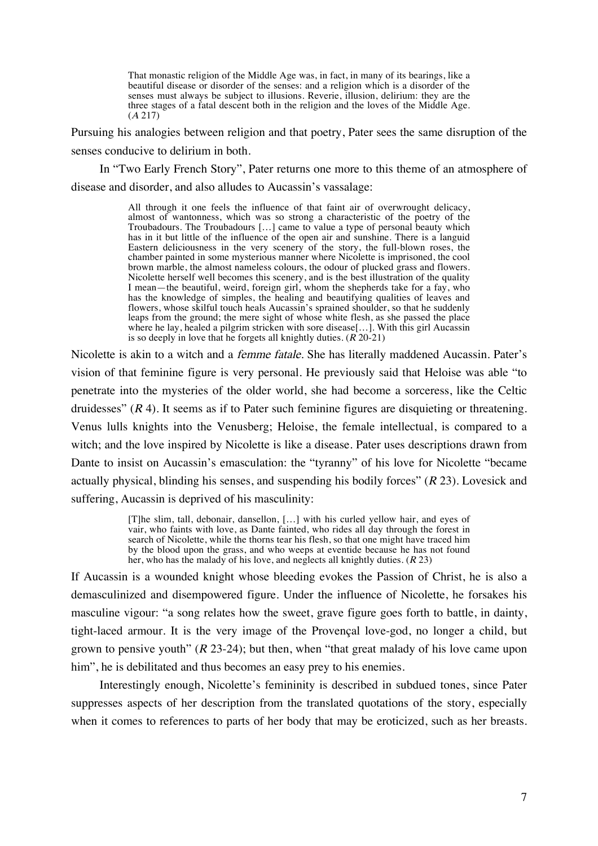That monastic religion of the Middle Age was, in fact, in many of its bearings, like a beautiful disease or disorder of the senses: and a religion which is a disorder of the senses must always be subject to illusions. Reverie, illusion, delirium: they are the three stages of a fatal descent both in the religion and the loves of the Middle Age. (<sup>A</sup> 217)

Pursuing his analogies between religion and that poetry, Pater sees the same disruption of the senses conducive to delirium in both.

In "Two Early French Story", Pater returns one more to this theme of an atmosphere of disease and disorder, and also alludes to Aucassin's vassalage:

> All through it one feels the influence of that faint air of overwrought delicacy, almost of wantonness, which was so strong a characteristic of the poetry of the Troubadours. The Troubadours […] came to value a type of personal beauty which has in it but little of the influence of the open air and sunshine. There is a languid Eastern deliciousness in the very scenery of the story, the full-blown roses, the chamber painted in some mysterious manner where Nicolette is imprisoned, the cool brown marble, the almost nameless colours, the odour of plucked grass and flowers. Nicolette herself well becomes this scenery, and is the best illustration of the quality I mean—the beautiful, weird, foreign girl, whom the shepherds take for a fay, who has the knowledge of simples, the healing and beautifying qualities of leaves and flowers, whose skilful touch heals Aucassin's sprained shoulder, so that he suddenly leaps from the ground; the mere sight of whose white flesh, as she passed the place where he lay, healed a pilgrim stricken with sore disease[…]. With this girl Aucassin is so deeply in love that he forgets all knightly duties.  $(R \ 20-21)$

Nicolette is akin to a witch and a femme fatale. She has literally maddened Aucassin. Pater's vision of that feminine figure is very personal. He previously said that Heloise was able "to penetrate into the mysteries of the older world, she had become a sorceress, like the Celtic druidesses"  $(R 4)$ . It seems as if to Pater such feminine figures are disquieting or threatening. Venus lulls knights into the Venusberg; Heloise, the female intellectual, is compared to a witch; and the love inspired by Nicolette is like a disease. Pater uses descriptions drawn from Dante to insist on Aucassin's emasculation: the "tyranny" of his love for Nicolette "became actually physical, blinding his senses, and suspending his bodily forces"  $(R 23)$ . Lovesick and suffering, Aucassin is deprived of his masculinity:

> [T]he slim, tall, debonair, dansellon, […] with his curled yellow hair, and eyes of vair, who faints with love, as Dante fainted, who rides all day through the forest in search of Nicolette, while the thorns tear his flesh, so that one might have traced him by the blood upon the grass, and who weeps at eventide because he has not found her, who has the malady of his love, and neglects all knightly duties. (<sup>R</sup> 23)

If Aucassin is a wounded knight whose bleeding evokes the Passion of Christ, he is also a demasculinized and disempowered figure. Under the influence of Nicolette, he forsakes his masculine vigour: "a song relates how the sweet, grave figure goes forth to battle, in dainty, tight-laced armour. It is the very image of the Provençal love-god, no longer a child, but grown to pensive youth"  $(R 23-24)$ ; but then, when "that great malady of his love came upon him", he is debilitated and thus becomes an easy prey to his enemies.

Interestingly enough, Nicolette's femininity is described in subdued tones, since Pater suppresses aspects of her description from the translated quotations of the story, especially when it comes to references to parts of her body that may be eroticized, such as her breasts.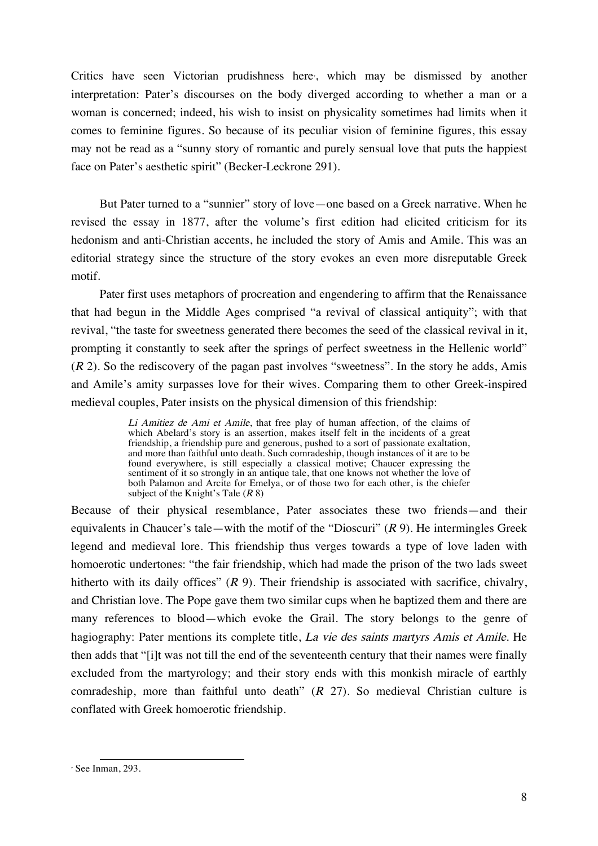Critics have seen Victorian prudishness here, which may be dismissed by another interpretation: Pater's discourses on the body diverged according to whether a man or a woman is concerned; indeed, his wish to insist on physicality sometimes had limits when it comes to feminine figures. So because of its peculiar vision of feminine figures, this essay may not be read as a "sunny story of romantic and purely sensual love that puts the happiest face on Pater's aesthetic spirit" (Becker-Leckrone 291).

But Pater turned to a "sunnier" story of love—one based on a Greek narrative. When he revised the essay in 1877, after the volume's first edition had elicited criticism for its hedonism and anti-Christian accents, he included the story of Amis and Amile. This was an editorial strategy since the structure of the story evokes an even more disreputable Greek motif.

Pater first uses metaphors of procreation and engendering to affirm that the Renaissance that had begun in the Middle Ages comprised "a revival of classical antiquity"; with that revival, "the taste for sweetness generated there becomes the seed of the classical revival in it, prompting it constantly to seek after the springs of perfect sweetness in the Hellenic world"  $(R 2)$ . So the rediscovery of the pagan past involves "sweetness". In the story he adds, Amis and Amile's amity surpasses love for their wives. Comparing them to other Greek-inspired medieval couples, Pater insists on the physical dimension of this friendship:

> Li Amitiez de Ami et Amile, that free play of human affection, of the claims of which Abelard's story is an assertion, makes itself felt in the incidents of a great friendship, a friendship pure and generous, pushed to a sort of passionate exaltation, and more than faithful unto death. Such comradeship, though instances of it are to be found everywhere, is still especially a classical motive; Chaucer expressing the sentiment of it so strongly in an antique tale, that one knows not whether the love of both Palamon and Arcite for Emelya, or of those two for each other, is the chiefer subject of the Knight's Tale  $(R 8)$

Because of their physical resemblance, Pater associates these two friends—and their equivalents in Chaucer's tale—with the motif of the "Dioscuri"  $(R 9)$ . He intermingles Greek legend and medieval lore. This friendship thus verges towards a type of love laden with homoerotic undertones: "the fair friendship, which had made the prison of the two lads sweet hitherto with its daily offices"  $(R 9)$ . Their friendship is associated with sacrifice, chivalry, and Christian love. The Pope gave them two similar cups when he baptized them and there are many references to blood—which evoke the Grail. The story belongs to the genre of hagiography: Pater mentions its complete title, La vie des saints martyrs Amis et Amile. He then adds that "[i]t was not till the end of the seventeenth century that their names were finally excluded from the martyrology; and their story ends with this monkish miracle of earthly comradeship, more than faithful unto death"  $(R \ 27)$ . So medieval Christian culture is conflated with Greek homoerotic friendship.

 <sup>7</sup> See Inman, 293.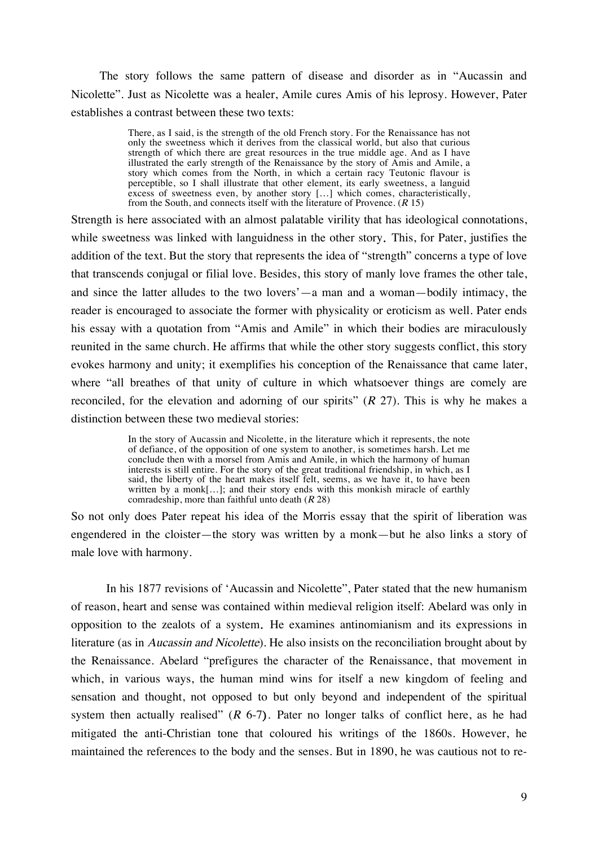The story follows the same pattern of disease and disorder as in "Aucassin and Nicolette". Just as Nicolette was a healer, Amile cures Amis of his leprosy. However, Pater establishes a contrast between these two texts:

> There, as I said, is the strength of the old French story. For the Renaissance has not only the sweetness which it derives from the classical world, but also that curious strength of which there are great resources in the true middle age. And as I have illustrated the early strength of the Renaissance by the story of Amis and Amile, a story which comes from the North, in which a certain racy Teutonic flavour is perceptible, so I shall illustrate that other element, its early sweetness, a languid excess of sweetness even, by another story […] which comes, characteristically, from the South, and connects itself with the literature of Provence.  $(R 15)$

Strength is here associated with an almost palatable virility that has ideological connotations, while sweetness was linked with languidness in the other story. This, for Pater, justifies the addition of the text. But the story that represents the idea of "strength" concerns a type of love that transcends conjugal or filial love. Besides, this story of manly love frames the other tale, and since the latter alludes to the two lovers'—a man and a woman—bodily intimacy, the reader is encouraged to associate the former with physicality or eroticism as well. Pater ends his essay with a quotation from "Amis and Amile" in which their bodies are miraculously reunited in the same church. He affirms that while the other story suggests conflict, this story evokes harmony and unity; it exemplifies his conception of the Renaissance that came later, where "all breathes of that unity of culture in which whatsoever things are comely are reconciled, for the elevation and adorning of our spirits"  $(R 27)$ . This is why he makes a distinction between these two medieval stories:

> In the story of Aucassin and Nicolette, in the literature which it represents, the note of defiance, of the opposition of one system to another, is sometimes harsh. Let me conclude then with a morsel from Amis and Amile, in which the harmony of human interests is still entire. For the story of the great traditional friendship, in which, as I said, the liberty of the heart makes itself felt, seems, as we have it, to have been written by a monk[...]; and their story ends with this monkish miracle of earthly comradeship, more than faithful unto death  $(R 28)$

So not only does Pater repeat his idea of the Morris essay that the spirit of liberation was engendered in the cloister—the story was written by a monk—but he also links a story of male love with harmony.

In his 1877 revisions of 'Aucassin and Nicolette", Pater stated that the new humanism of reason, heart and sense was contained within medieval religion itself: Abelard was only in opposition to the zealots of a system. He examines antinomianism and its expressions in literature (as in Aucassin and Nicolette). He also insists on the reconciliation brought about by the Renaissance. Abelard "prefigures the character of the Renaissance, that movement in which, in various ways, the human mind wins for itself a new kingdom of feeling and sensation and thought, not opposed to but only beyond and independent of the spiritual system then actually realised"  $(R 6-7)$ . Pater no longer talks of conflict here, as he had mitigated the anti-Christian tone that coloured his writings of the 1860s. However, he maintained the references to the body and the senses. But in 1890, he was cautious not to re